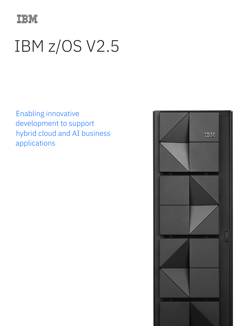

# IBM z/OS V2.5

Enabling innovative development to support hybrid cloud and AI business applications

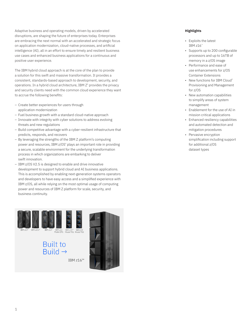Adaptive business and operating models, driven by accelerated disruptions, are shaping the future of enterprises today. Enterprises are embracing the next normal with an accelerated and strategic focus on application modernization, cloud-native processes, and artificial intelligence (AI), all in an effort to ensure timely and resilient business use cases and enhanced business applications for a continuous and positive user experience.

The IBM hybrid cloud approach is at the core of the plan to provide a solution for this swift and massive transformation. It provides a consistent, standards-based approach to development, security, and operations. In a hybrid cloud architecture, IBM Z® provides the privacy and security clients need with the common cloud experience they want to accrue the following benefits:

- Create better experiences for users through application modernization
- Fuel business growth with a standard cloud-native approach
- Innovate with integrity with cyber solutions to address evolving threats and new regulations
- Build competitive advantage with a cyber-resilient infrastructure that predicts, responds, and recovers
- By leveraging the strengths of the IBM Z platform's computing power and resources, IBM z/OS<sup>®</sup> plays an important role in providing a secure, scalable environment for the underlying transformation process in which organizations are embarking to deliver swift innovation.
- IBM z/OS V2.5 is designed to enable and drive innovative development to support hybrid cloud and AI business applications. This is accomplished by enabling next-generation systems operators and developers to have easy access and a simplified experience with IBM z/OS, all while relying on the most optimal usage of computing power and resources of IBM Z platform for scale, security, and business continuity.



IBM z16™

### **Highlights**

- Exploits the latest IBM z16™
- Supports up to 200 configurable processors and up to 16TB of memory in a z/OS image
- Performance and ease of use enhancements for z/OS Container Extensions
- New functions for IBM Cloud® Provisioning and Management for z/OS
- New automation capabilities to simplify areas of system management
- Enablement for the use of AI in mission critical applications
- Enhanced resiliency capabilities and automated detection and mitigation procedures
- Pervasive encryption simplification including support for additional z/OS dataset types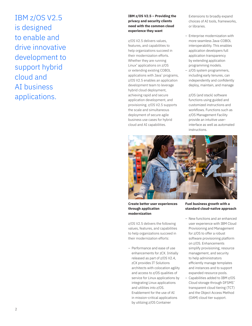# IBM z/OS V2.5 is designed to enable and drive innovative development to support hybrid cloud and AI business applications.

#### **IBM z/OS V2.5 – Providing the privacy and security clients need with the common cloud experience they want**

z/OS V2.5 delivers values, features, and capabilities to help organizations succeed in their modernization efforts. Whether they are running Linux® applications on z/OS or extending existing COBOL applications with Java™ programs, z/OS V2.5 enables an application development team to leverage hybrid cloud deployment, achieving rapid and secure application development, and provisioning. z/OS V2.5 supports the scale and simultaneous deployment of secure agile business use cases for hybrid cloud and AI capabilities.

Extensions to broadly expand choices of AI tools, frameworks, or libraries.

- Enterprise modernization with more seamless Java-COBOL interoperability. This enables application developers full application transparency by extending application programming models.
- z/OS system programmers, including early tenures, can independently and confidently deploy, maintain, and manage

z/OS (and stack) software functions using guided and customized instructions and workflows. Functions such as z/OS Management Facility provide an intuitive userinterface as well as automated instructions.



**Create better user experiences through application modernization** 

z/OS V2.5 delivers the following values, features, and capabilities to help organizations succeed in their modernization efforts:

– Performance and ease of use enhancements for zCX. Initially released as part of z/OS V2.4, zCX provides IT Solutions architects with colocation agility and access to z/OS qualities of service for Linux applications by integrating Linux applications and utilities into z/OS. Enablement for the use of AI in mission-critical applications by utilizing z/OS Container

**Fuel business growth with a standard cloud-native approach**

- New functions and an enhanced user experience with IBM Cloud Provisioning and Management for z/OS to offer a robust software provisioning platform on z/OS. Enhancements simplify provisioning, resource management, and security to help administrators efficiently manage templates and instances and to support expanded resource pools.
- Capabilities added to IBM z/OS Cloud storage through DFSMS™ transparent cloud tiering (TCT) and the Object Access Method (OAM) cloud tier support.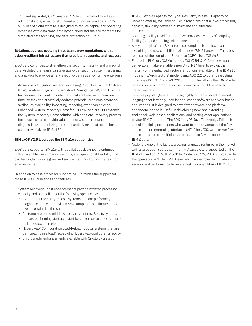TCT, and separately OAM, enable z/OS to utilize hybrid cloud as an additional storage tier for structured and unstructured data. z/OS V2.5 use of cloud storage is designed to reduce capital and operating expenses with data transfer to hybrid cloud storage environments for simplified data archiving and data protection on IBM Z.

#### **Solutions address evolving threats and new regulations with a cyber-resilient infrastructure that predicts, responds, and recovers**

z/OS V2.5 continues to strengthen the security, integrity, and privacy of data. Architecture teams can leverage cyber security system hardening and analytics to provide a new level of cyber resiliency for the enterprise

- An Anomaly Mitigation solution leveraging Predictive Failure Analysis (PFA), Runtime Diagnostics, Workload Manager (WLM), and JES2 that further enables clients to detect anomalous behavior in near realtime, so they can proactively address potential problems before an availability availability-impacting impacting event can develop.
- Enhanced System Recovery Boost for IBM z16 servers. IBM extends the System Recovery Boost solution with additional recovery process boost use cases to provide value for a new set of recovery and diagnostic events, utilizing the same underlying boost technologies used previously on IBM z15™.

#### **IBM z/OS V2.5 leverages the IBM z16 capabilities**

z/OS V2.5 supports IBM z16 with capabilities designed to optimize high availability, performance, security, and operational flexibility that can help organizations grow and secure their most critical transaction environments.

In addition to base processor support, z/OS provides the support for these IBM z16 functions and features:

- System Recovery Boost enhancements provide boosted processor capacity and parallelism for the following specific events:
	- SVC Dump Processing: Boosts systems that are performing diagnostic data capture via an SVC Dump that is estimated to be over a certain size threshold.
	- Customer-selected middleware starts/restarts: Boosts systems that are performing startup/restart for customer-selected startedtask middleware regions.
	- HyperSwap™ Configuration Load/Reload: Boosts systems that are participating in a load/ reload of a HyperSwap configuration policy.
	- Cryptography enhancements available with Crypto Express8S.
- IBM Z Flexible Capacity for Cyber Resiliency is a new Capacity on Demand offering available on IBM Z machines, that allows processing capacity flexibility between primary site and alternate data centers.
- Coupling Facility Level (CFLEVEL) 25 provides a variety of coupling facility (CF) and coupling link enhancements
- A key strength of the IBM enterprise compilers is the focus on exploiting the new capabilities of the new IBM Z hardware. The latest releases of the compilers (Enterprise COBOL for z/OS V6.3,
- Enterprise PL/I for z/OS V6.1, and z/OS V2R4 XL C/C++ new web deliverable) make available a new ARCH-14 level to exploit the majority of the enhanced vector instructions available on the IBM z16 models in z/Architecture® mode. Using ABO 2.2 to optimize existing Enterprise COBOL 4.2 to VS COBOL II modules allows the IBM z16 to obtain improved computation performance without the need to do recompilation.
- Java is a popular, general-purpose, highly portable object-oriented language that is widely used for application software and web-based applications. It is designed to have few hardware and platform dependencies and is useful in developing new, and extending traditional, web-based applications, and porting other applications to your IBM Z platform. The SDK for z/OS Java Technology Edition is useful in helping developers who want to take advantage of the Java application programming interfaces (APIs) for z/OS, write or run Java applications across multiple platforms, or use Java to access IBM Z data.
- Node.js is one of the fastest growing language runtimes in the market with a large open source community. Available and supported on the IBM z16 and on z/OS, IBM SDK for Node.js - z/OS, V8.0 is upgraded to the open source Node.js V8.0 level which is designed to provide extra security and performance by leveraging the capabilities of IBM z16.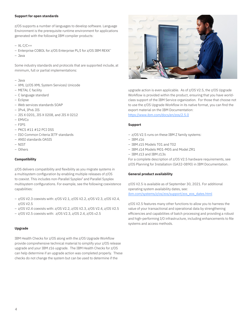#### **Support for open standards**

z/OS supports a number of languages to develop software. Language Environment is the prerequisite runtime environment for applications generated with the following IBM compiler products:

- XL C/C++
- Enterprise COBOL for z/OS Enterprise PL/I for z/OS IBM REXX™
- Java

Some industry standards and protocols that are supported include, at minimum, full or partial implementations:

- Java
- XML (z/OS XML System Services) Unicode
- METAL C facility
- C language standard
- Eclipse
- Web services standards SOAP
- IPv4, IPv6 JIS
- JIS X 0201, JIS X 0208, and JIS X 0212
- EMVCo
- FIPS
- PKCS #11 #12 PCI DSS
- ISO Common Criteria IETF standards
- ANSI standards OASIS
- NIST
- Others

#### **Compatibility**

z/OS delivers compatibility and flexibility as you migrate systems in a multisystem configuration by enabling multiple releases of z/OS to coexist. This includes non-Parallel Sysplex® and Parallel Sysplex multisystem configurations. For example, see the following coexistence capabilities:

- z/OS V2.3 coexists with: z/OS V2.1, z/OS V2.2, z/OS V2.3, z/OS V2.4, z/OS V2.5
- z/OS V2.4 coexists with: z/OS V2.2, z/OS V2.3, z/OS V2.4, z/OS V2.5
- z/OS V2.5 coexists with: z/OS V2.3, z/OS 2.4, z/OS v2.5

#### **Upgrade**

IBM Health Checks for z/OS along with the z/OS Upgrade Workflow provide comprehensive technical material to simplify your z/OS release upgrade and your IBM z16 upgrade. The IBM Health Checks for z/OS can help determine if an upgrade action was completed properly. These checks do not change the system but can be used to determine if the



upgrade action is even applicable. As of z/OS V2.5, the z/OS Upgrade Workflow is provided within the product, ensuring that you have worldclass support of the IBM Service organization. For those that choose not to use the z/OS Upgrade Workflow in its native format, you can find the export material on the IBM Documentation: <https://www.ibm.com/docs/en/zos/2.5.0>

**Support**

- z/OS V2.5 runs on these IBM Z family systems:
- $-$  TRM  $z16$
- IBM z15 Models T01 and T02
- IBM z14 Models M01-M05 and Model ZR1
- IBM z13 and IBM z13s

For a complete description of z/OS V2.5 hardware requirements, see z/OS Planning for Installation (GA32-0890) in IBM Documentation.

#### **General product availability**

z/OS V2.5 is available as of September 30, 2021. For additional operating system availability dates, see: [ibm.com/systems/z/os/zos/support/zos\\_eos\\_dates.html](http://ibm.com/systems/z/os/zos/support/zos_eos_dates.html)

z/OS V2.5 features many other functions to allow you to harness the value of your transactional and operational data by strengthening efficiencies and capabilities of batch processing and providing a robust and high-performing I/O infrastructure, including enhancements to file systems and access methods.